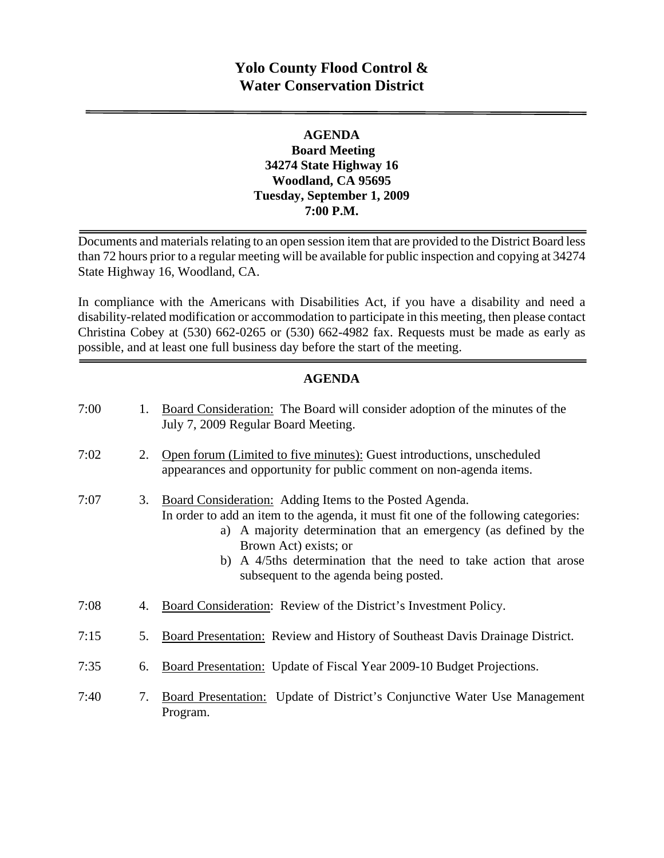# **Yolo County Flood Control & Water Conservation District**

### **AGENDA Board Meeting 34274 State Highway 16 Woodland, CA 95695 Tuesday, September 1, 2009 7:00 P.M.**

Documents and materials relating to an open session item that are provided to the District Board less than 72 hours prior to a regular meeting will be available for public inspection and copying at 34274 State Highway 16, Woodland, CA.

In compliance with the Americans with Disabilities Act, if you have a disability and need a disability-related modification or accommodation to participate in this meeting, then please contact Christina Cobey at (530) 662-0265 or (530) 662-4982 fax. Requests must be made as early as possible, and at least one full business day before the start of the meeting.

### **AGENDA**

| 7:00 | 1. | Board Consideration: The Board will consider adoption of the minutes of the<br>July 7, 2009 Regular Board Meeting.                                                                                                                                                                                                                                         |
|------|----|------------------------------------------------------------------------------------------------------------------------------------------------------------------------------------------------------------------------------------------------------------------------------------------------------------------------------------------------------------|
| 7:02 | 2. | Open forum (Limited to five minutes): Guest introductions, unscheduled<br>appearances and opportunity for public comment on non-agenda items.                                                                                                                                                                                                              |
| 7:07 | 3. | Board Consideration: Adding Items to the Posted Agenda.<br>In order to add an item to the agenda, it must fit one of the following categories:<br>a) A majority determination that an emergency (as defined by the<br>Brown Act) exists; or<br>b) A 4/5ths determination that the need to take action that arose<br>subsequent to the agenda being posted. |
| 7:08 | 4. | Board Consideration: Review of the District's Investment Policy.                                                                                                                                                                                                                                                                                           |
| 7:15 | 5. | Board Presentation: Review and History of Southeast Davis Drainage District.                                                                                                                                                                                                                                                                               |
| 7:35 | 6. | Board Presentation: Update of Fiscal Year 2009-10 Budget Projections.                                                                                                                                                                                                                                                                                      |
| 7:40 | 7. | Board Presentation: Update of District's Conjunctive Water Use Management<br>Program.                                                                                                                                                                                                                                                                      |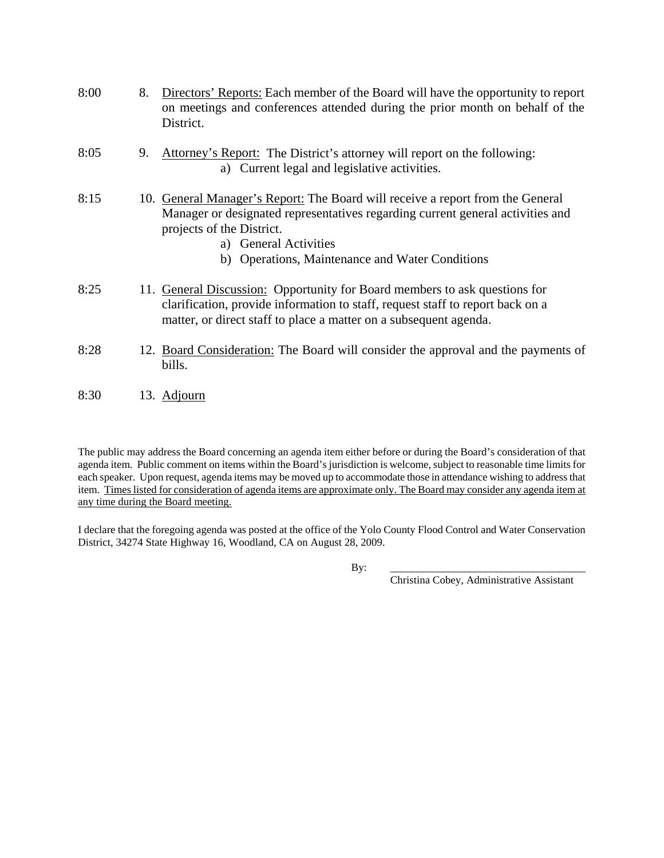| 8:00 | 8. | Directors' Reports: Each member of the Board will have the opportunity to report<br>on meetings and conferences attended during the prior month on behalf of the<br>District.                                                                                             |
|------|----|---------------------------------------------------------------------------------------------------------------------------------------------------------------------------------------------------------------------------------------------------------------------------|
| 8:05 | 9. | Attorney's Report: The District's attorney will report on the following:<br>a) Current legal and legislative activities.                                                                                                                                                  |
| 8:15 |    | 10. General Manager's Report: The Board will receive a report from the General<br>Manager or designated representatives regarding current general activities and<br>projects of the District.<br>a) General Activities<br>b) Operations, Maintenance and Water Conditions |
| 8:25 |    | 11. General Discussion: Opportunity for Board members to ask questions for<br>clarification, provide information to staff, request staff to report back on a<br>matter, or direct staff to place a matter on a subsequent agenda.                                         |
| 8:28 |    | 12. Board Consideration: The Board will consider the approval and the payments of<br>bills.                                                                                                                                                                               |
| 8:30 |    | 13. Adjourn                                                                                                                                                                                                                                                               |

The public may address the Board concerning an agenda item either before or during the Board's consideration of that agenda item. Public comment on items within the Board's jurisdiction is welcome, subject to reasonable time limits for each speaker. Upon request, agenda items may be moved up to accommodate those in attendance wishing to address that item. Times listed for consideration of agenda items are approximate only. The Board may consider any agenda item at any time during the Board meeting.

I declare that the foregoing agenda was posted at the office of the Yolo County Flood Control and Water Conservation District, 34274 State Highway 16, Woodland, CA on August 28, 2009.

By: \_\_\_\_\_\_\_\_\_\_\_\_\_\_\_\_\_\_\_\_\_\_\_\_\_\_\_\_\_\_\_\_\_\_\_\_\_

Christina Cobey, Administrative Assistant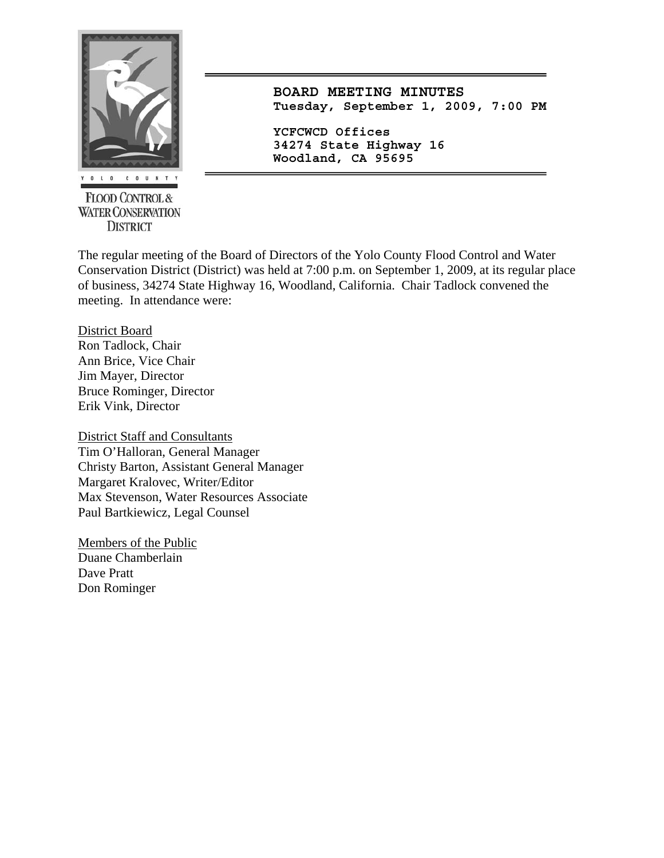

**FLOOD CONTROL & WATER CONSERVATION DISTRICT** 

**BOARD MEETING MINUTES Tuesday, September 1, 2009, 7:00 PM**

**YCFCWCD Offices 34274 State Highway 16 Woodland, CA 95695** 

The regular meeting of the Board of Directors of the Yolo County Flood Control and Water Conservation District (District) was held at 7:00 p.m. on September 1, 2009, at its regular place of business, 34274 State Highway 16, Woodland, California. Chair Tadlock convened the meeting. In attendance were:

District Board

Ron Tadlock, Chair Ann Brice, Vice Chair Jim Mayer, Director Bruce Rominger, Director Erik Vink, Director

District Staff and Consultants Tim O'Halloran, General Manager Christy Barton, Assistant General Manager Margaret Kralovec, Writer/Editor Max Stevenson, Water Resources Associate Paul Bartkiewicz, Legal Counsel

Members of the Public Duane Chamberlain Dave Pratt Don Rominger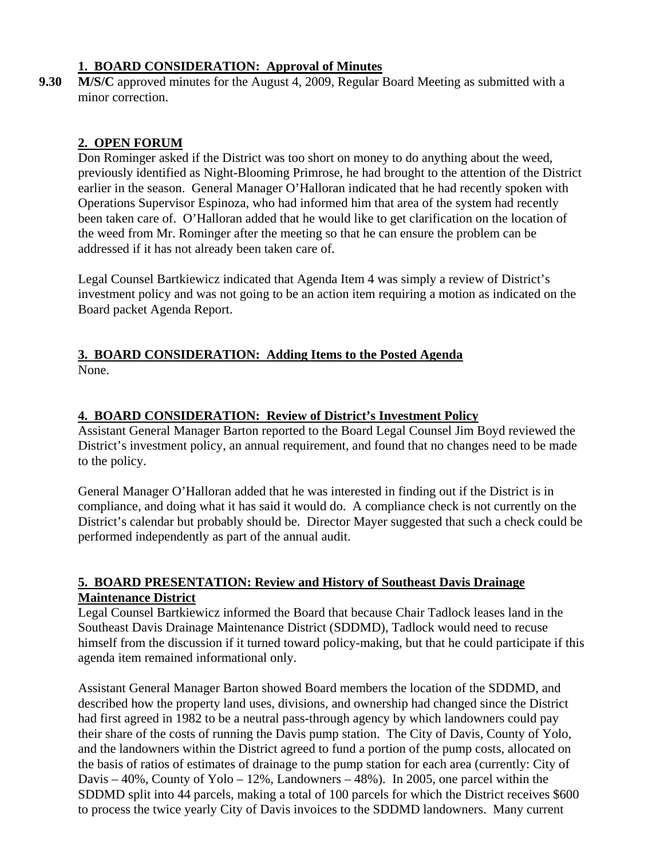## **1. BOARD CONSIDERATION: Approval of Minutes**

**9.30 M/S/C** approved minutes for the August 4, 2009, Regular Board Meeting as submitted with a minor correction.

## **2. OPEN FORUM**

Don Rominger asked if the District was too short on money to do anything about the weed, previously identified as Night-Blooming Primrose, he had brought to the attention of the District earlier in the season. General Manager O'Halloran indicated that he had recently spoken with Operations Supervisor Espinoza, who had informed him that area of the system had recently been taken care of. O'Halloran added that he would like to get clarification on the location of the weed from Mr. Rominger after the meeting so that he can ensure the problem can be addressed if it has not already been taken care of.

Legal Counsel Bartkiewicz indicated that Agenda Item 4 was simply a review of District's investment policy and was not going to be an action item requiring a motion as indicated on the Board packet Agenda Report.

# **3. BOARD CONSIDERATION: Adding Items to the Posted Agenda**

None.

## **4. BOARD CONSIDERATION: Review of District's Investment Policy**

Assistant General Manager Barton reported to the Board Legal Counsel Jim Boyd reviewed the District's investment policy, an annual requirement, and found that no changes need to be made to the policy.

General Manager O'Halloran added that he was interested in finding out if the District is in compliance, and doing what it has said it would do. A compliance check is not currently on the District's calendar but probably should be. Director Mayer suggested that such a check could be performed independently as part of the annual audit.

### **5. BOARD PRESENTATION: Review and History of Southeast Davis Drainage Maintenance District**

Legal Counsel Bartkiewicz informed the Board that because Chair Tadlock leases land in the Southeast Davis Drainage Maintenance District (SDDMD), Tadlock would need to recuse himself from the discussion if it turned toward policy-making, but that he could participate if this agenda item remained informational only.

Assistant General Manager Barton showed Board members the location of the SDDMD, and described how the property land uses, divisions, and ownership had changed since the District had first agreed in 1982 to be a neutral pass-through agency by which landowners could pay their share of the costs of running the Davis pump station. The City of Davis, County of Yolo, and the landowners within the District agreed to fund a portion of the pump costs, allocated on the basis of ratios of estimates of drainage to the pump station for each area (currently: City of Davis – 40%, County of Yolo – 12%, Landowners – 48%). In 2005, one parcel within the SDDMD split into 44 parcels, making a total of 100 parcels for which the District receives \$600 to process the twice yearly City of Davis invoices to the SDDMD landowners. Many current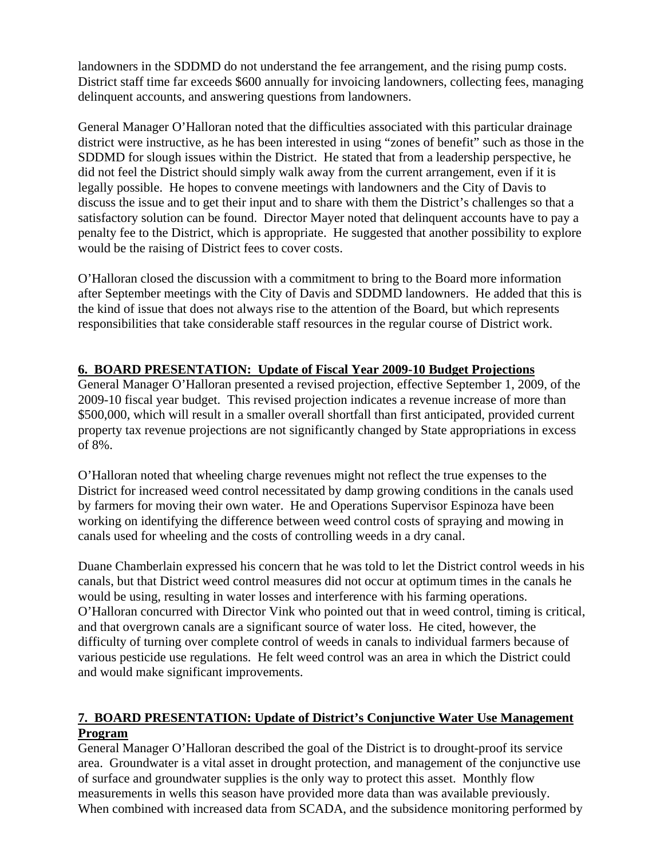landowners in the SDDMD do not understand the fee arrangement, and the rising pump costs. District staff time far exceeds \$600 annually for invoicing landowners, collecting fees, managing delinquent accounts, and answering questions from landowners.

General Manager O'Halloran noted that the difficulties associated with this particular drainage district were instructive, as he has been interested in using "zones of benefit" such as those in the SDDMD for slough issues within the District. He stated that from a leadership perspective, he did not feel the District should simply walk away from the current arrangement, even if it is legally possible. He hopes to convene meetings with landowners and the City of Davis to discuss the issue and to get their input and to share with them the District's challenges so that a satisfactory solution can be found. Director Mayer noted that delinquent accounts have to pay a penalty fee to the District, which is appropriate. He suggested that another possibility to explore would be the raising of District fees to cover costs.

O'Halloran closed the discussion with a commitment to bring to the Board more information after September meetings with the City of Davis and SDDMD landowners. He added that this is the kind of issue that does not always rise to the attention of the Board, but which represents responsibilities that take considerable staff resources in the regular course of District work.

## **6. BOARD PRESENTATION: Update of Fiscal Year 2009-10 Budget Projections**

General Manager O'Halloran presented a revised projection, effective September 1, 2009, of the 2009-10 fiscal year budget. This revised projection indicates a revenue increase of more than \$500,000, which will result in a smaller overall shortfall than first anticipated, provided current property tax revenue projections are not significantly changed by State appropriations in excess of 8%.

O'Halloran noted that wheeling charge revenues might not reflect the true expenses to the District for increased weed control necessitated by damp growing conditions in the canals used by farmers for moving their own water. He and Operations Supervisor Espinoza have been working on identifying the difference between weed control costs of spraying and mowing in canals used for wheeling and the costs of controlling weeds in a dry canal.

Duane Chamberlain expressed his concern that he was told to let the District control weeds in his canals, but that District weed control measures did not occur at optimum times in the canals he would be using, resulting in water losses and interference with his farming operations. O'Halloran concurred with Director Vink who pointed out that in weed control, timing is critical, and that overgrown canals are a significant source of water loss. He cited, however, the difficulty of turning over complete control of weeds in canals to individual farmers because of various pesticide use regulations. He felt weed control was an area in which the District could and would make significant improvements.

## **7. BOARD PRESENTATION: Update of District's Conjunctive Water Use Management Program**

General Manager O'Halloran described the goal of the District is to drought-proof its service area. Groundwater is a vital asset in drought protection, and management of the conjunctive use of surface and groundwater supplies is the only way to protect this asset. Monthly flow measurements in wells this season have provided more data than was available previously. When combined with increased data from SCADA, and the subsidence monitoring performed by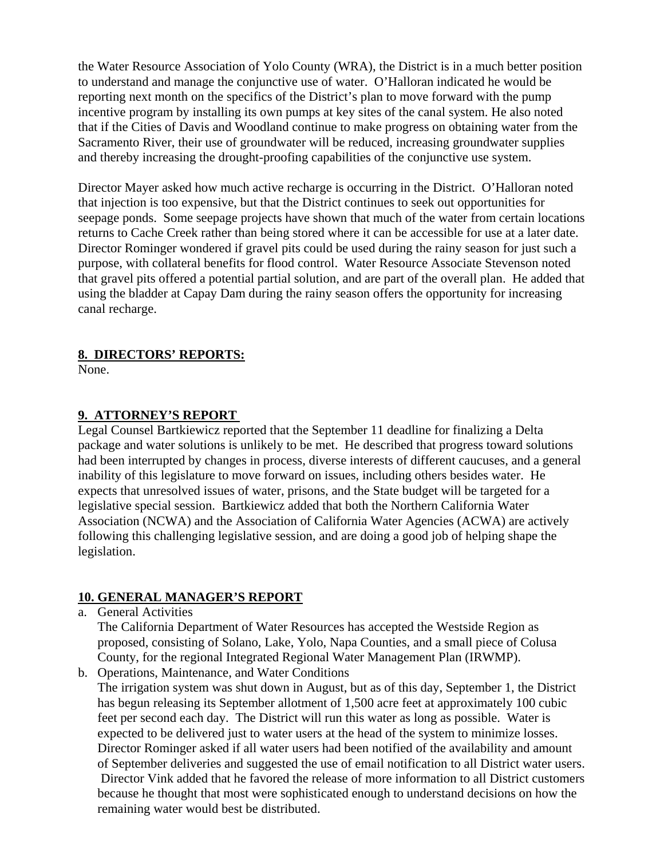the Water Resource Association of Yolo County (WRA), the District is in a much better position to understand and manage the conjunctive use of water. O'Halloran indicated he would be reporting next month on the specifics of the District's plan to move forward with the pump incentive program by installing its own pumps at key sites of the canal system. He also noted that if the Cities of Davis and Woodland continue to make progress on obtaining water from the Sacramento River, their use of groundwater will be reduced, increasing groundwater supplies and thereby increasing the drought-proofing capabilities of the conjunctive use system.

Director Mayer asked how much active recharge is occurring in the District. O'Halloran noted that injection is too expensive, but that the District continues to seek out opportunities for seepage ponds. Some seepage projects have shown that much of the water from certain locations returns to Cache Creek rather than being stored where it can be accessible for use at a later date. Director Rominger wondered if gravel pits could be used during the rainy season for just such a purpose, with collateral benefits for flood control. Water Resource Associate Stevenson noted that gravel pits offered a potential partial solution, and are part of the overall plan. He added that using the bladder at Capay Dam during the rainy season offers the opportunity for increasing canal recharge.

### **8. DIRECTORS' REPORTS:**

None.

### **9. ATTORNEY'S REPORT**

Legal Counsel Bartkiewicz reported that the September 11 deadline for finalizing a Delta package and water solutions is unlikely to be met. He described that progress toward solutions had been interrupted by changes in process, diverse interests of different caucuses, and a general inability of this legislature to move forward on issues, including others besides water. He expects that unresolved issues of water, prisons, and the State budget will be targeted for a legislative special session. Bartkiewicz added that both the Northern California Water Association (NCWA) and the Association of California Water Agencies (ACWA) are actively following this challenging legislative session, and are doing a good job of helping shape the legislation.

### **10. GENERAL MANAGER'S REPORT**

a. General Activities

The California Department of Water Resources has accepted the Westside Region as proposed, consisting of Solano, Lake, Yolo, Napa Counties, and a small piece of Colusa County, for the regional Integrated Regional Water Management Plan (IRWMP).

b. Operations, Maintenance, and Water Conditions

The irrigation system was shut down in August, but as of this day, September 1, the District has begun releasing its September allotment of 1,500 acre feet at approximately 100 cubic feet per second each day. The District will run this water as long as possible. Water is expected to be delivered just to water users at the head of the system to minimize losses. Director Rominger asked if all water users had been notified of the availability and amount of September deliveries and suggested the use of email notification to all District water users. Director Vink added that he favored the release of more information to all District customers because he thought that most were sophisticated enough to understand decisions on how the remaining water would best be distributed.